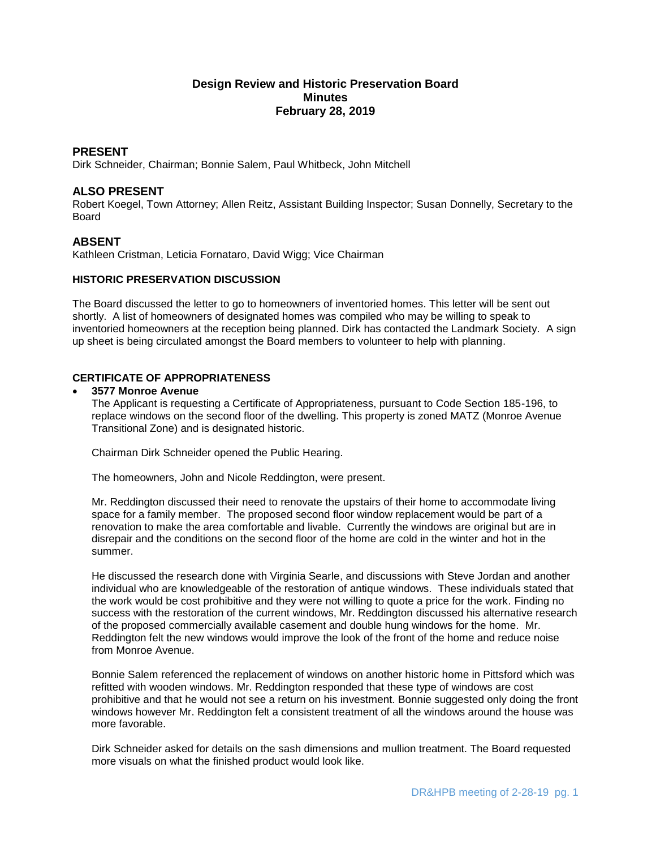# **Design Review and Historic Preservation Board Minutes February 28, 2019**

# **PRESENT**

Dirk Schneider, Chairman; Bonnie Salem, Paul Whitbeck, John Mitchell

# **ALSO PRESENT**

Robert Koegel, Town Attorney; Allen Reitz, Assistant Building Inspector; Susan Donnelly, Secretary to the Board

# **ABSENT**

Kathleen Cristman, Leticia Fornataro, David Wigg; Vice Chairman

### **HISTORIC PRESERVATION DISCUSSION**

The Board discussed the letter to go to homeowners of inventoried homes. This letter will be sent out shortly. A list of homeowners of designated homes was compiled who may be willing to speak to inventoried homeowners at the reception being planned. Dirk has contacted the Landmark Society. A sign up sheet is being circulated amongst the Board members to volunteer to help with planning.

# **CERTIFICATE OF APPROPRIATENESS**

### **3577 Monroe Avenue**

The Applicant is requesting a Certificate of Appropriateness, pursuant to Code Section 185-196, to replace windows on the second floor of the dwelling. This property is zoned MATZ (Monroe Avenue Transitional Zone) and is designated historic.

Chairman Dirk Schneider opened the Public Hearing.

The homeowners, John and Nicole Reddington, were present.

Mr. Reddington discussed their need to renovate the upstairs of their home to accommodate living space for a family member. The proposed second floor window replacement would be part of a renovation to make the area comfortable and livable. Currently the windows are original but are in disrepair and the conditions on the second floor of the home are cold in the winter and hot in the summer.

He discussed the research done with Virginia Searle, and discussions with Steve Jordan and another individual who are knowledgeable of the restoration of antique windows. These individuals stated that the work would be cost prohibitive and they were not willing to quote a price for the work. Finding no success with the restoration of the current windows, Mr. Reddington discussed his alternative research of the proposed commercially available casement and double hung windows for the home. Mr. Reddington felt the new windows would improve the look of the front of the home and reduce noise from Monroe Avenue.

Bonnie Salem referenced the replacement of windows on another historic home in Pittsford which was refitted with wooden windows. Mr. Reddington responded that these type of windows are cost prohibitive and that he would not see a return on his investment. Bonnie suggested only doing the front windows however Mr. Reddington felt a consistent treatment of all the windows around the house was more favorable.

Dirk Schneider asked for details on the sash dimensions and mullion treatment. The Board requested more visuals on what the finished product would look like.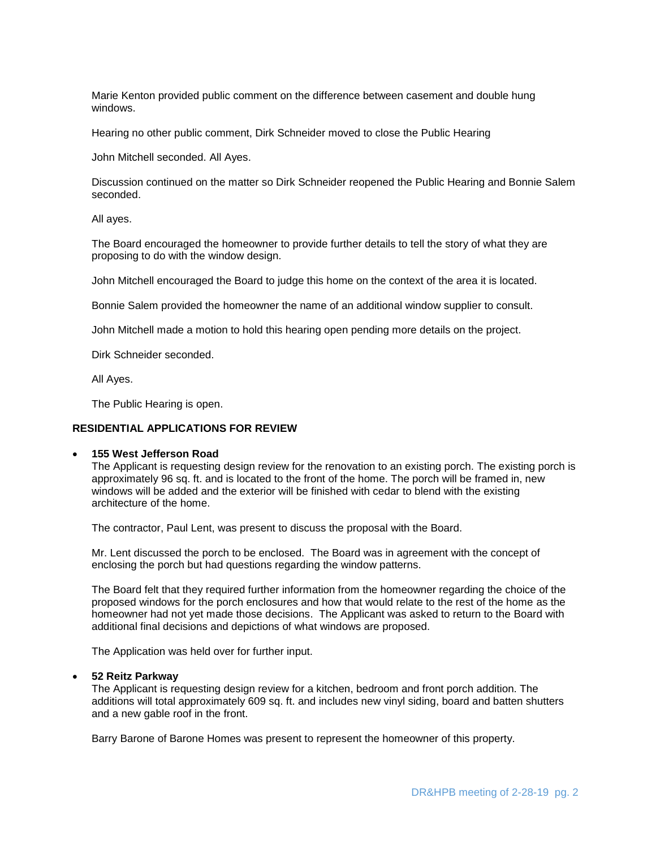Marie Kenton provided public comment on the difference between casement and double hung windows.

Hearing no other public comment, Dirk Schneider moved to close the Public Hearing

John Mitchell seconded. All Ayes.

Discussion continued on the matter so Dirk Schneider reopened the Public Hearing and Bonnie Salem seconded.

All ayes.

The Board encouraged the homeowner to provide further details to tell the story of what they are proposing to do with the window design.

John Mitchell encouraged the Board to judge this home on the context of the area it is located.

Bonnie Salem provided the homeowner the name of an additional window supplier to consult.

John Mitchell made a motion to hold this hearing open pending more details on the project.

Dirk Schneider seconded.

All Ayes.

The Public Hearing is open.

#### **RESIDENTIAL APPLICATIONS FOR REVIEW**

#### **155 West Jefferson Road**

The Applicant is requesting design review for the renovation to an existing porch. The existing porch is approximately 96 sq. ft. and is located to the front of the home. The porch will be framed in, new windows will be added and the exterior will be finished with cedar to blend with the existing architecture of the home.

The contractor, Paul Lent, was present to discuss the proposal with the Board.

Mr. Lent discussed the porch to be enclosed. The Board was in agreement with the concept of enclosing the porch but had questions regarding the window patterns.

The Board felt that they required further information from the homeowner regarding the choice of the proposed windows for the porch enclosures and how that would relate to the rest of the home as the homeowner had not yet made those decisions. The Applicant was asked to return to the Board with additional final decisions and depictions of what windows are proposed.

The Application was held over for further input.

#### **52 Reitz Parkway**

The Applicant is requesting design review for a kitchen, bedroom and front porch addition. The additions will total approximately 609 sq. ft. and includes new vinyl siding, board and batten shutters and a new gable roof in the front.

Barry Barone of Barone Homes was present to represent the homeowner of this property.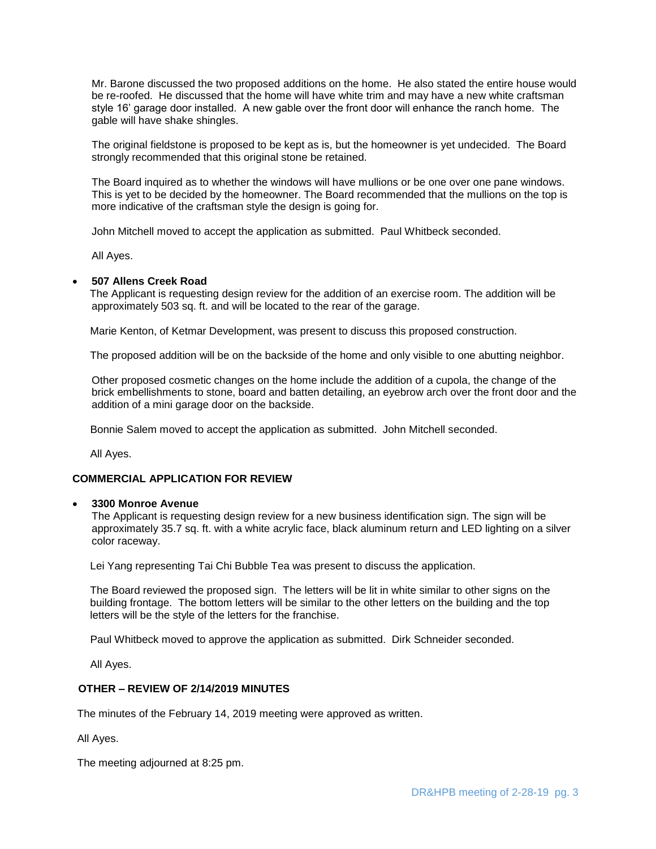Mr. Barone discussed the two proposed additions on the home. He also stated the entire house would be re-roofed. He discussed that the home will have white trim and may have a new white craftsman style 16' garage door installed. A new gable over the front door will enhance the ranch home. The gable will have shake shingles.

The original fieldstone is proposed to be kept as is, but the homeowner is yet undecided. The Board strongly recommended that this original stone be retained.

The Board inquired as to whether the windows will have mullions or be one over one pane windows. This is yet to be decided by the homeowner. The Board recommended that the mullions on the top is more indicative of the craftsman style the design is going for.

John Mitchell moved to accept the application as submitted. Paul Whitbeck seconded.

All Ayes.

### **507 Allens Creek Road**

 The Applicant is requesting design review for the addition of an exercise room. The addition will be approximately 503 sq. ft. and will be located to the rear of the garage.

Marie Kenton, of Ketmar Development, was present to discuss this proposed construction.

The proposed addition will be on the backside of the home and only visible to one abutting neighbor.

Other proposed cosmetic changes on the home include the addition of a cupola, the change of the brick embellishments to stone, board and batten detailing, an eyebrow arch over the front door and the addition of a mini garage door on the backside.

Bonnie Salem moved to accept the application as submitted. John Mitchell seconded.

All Ayes.

## **COMMERCIAL APPLICATION FOR REVIEW**

#### **3300 Monroe Avenue**

The Applicant is requesting design review for a new business identification sign. The sign will be approximately 35.7 sq. ft. with a white acrylic face, black aluminum return and LED lighting on a silver color raceway.

Lei Yang representing Tai Chi Bubble Tea was present to discuss the application.

 The Board reviewed the proposed sign. The letters will be lit in white similar to other signs on the building frontage. The bottom letters will be similar to the other letters on the building and the top letters will be the style of the letters for the franchise.

Paul Whitbeck moved to approve the application as submitted. Dirk Schneider seconded.

All Ayes.

### **OTHER – REVIEW OF 2/14/2019 MINUTES**

The minutes of the February 14, 2019 meeting were approved as written.

All Ayes.

The meeting adjourned at 8:25 pm.